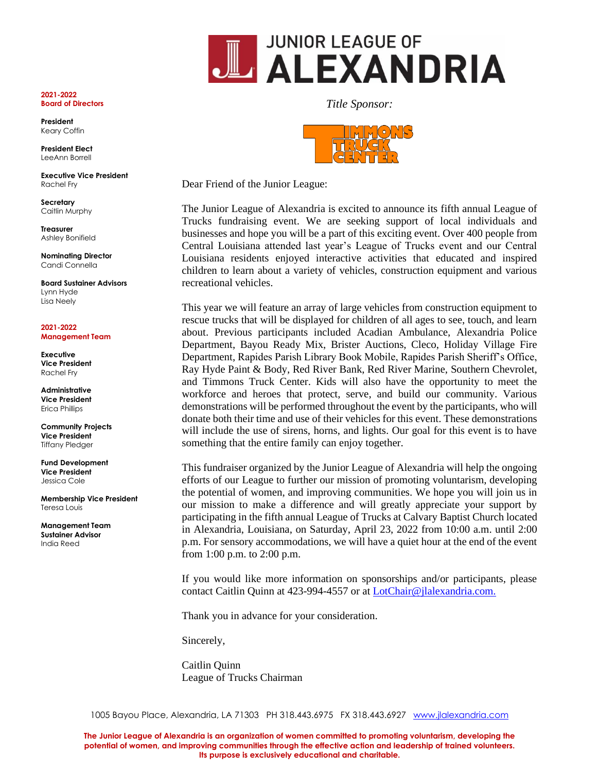

**President** Keary Coffin

**President Elect** LeeAnn Borrell

**Executive Vice President**  Rachel Fry

**Secretary** Caitlin Murphy

**Treasurer** Ashley Bonifield

**Nominating Director** Candi Connella

**Board Sustainer Advisors** Lynn Hyde Lisa Neely

**2021-2022 Management Team**

**Executive Vice President**  Rachel Fry

**Administrative Vice President**  Erica Phillips

**Community Projects Vice President** Tiffany Pledger

**Fund Development Vice President**  Jessica Cole

**Membership Vice President**  Teresa Louis

**Management Team Sustainer Advisor** India Reed

*Title Sponsor:*

Dear Friend of the Junior League:

The Junior League of Alexandria is excited to announce its fifth annual League of Trucks fundraising event. We are seeking support of local individuals and businesses and hope you will be a part of this exciting event. Over 400 people from Central Louisiana attended last year's League of Trucks event and our Central Louisiana residents enjoyed interactive activities that educated and inspired children to learn about a variety of vehicles, construction equipment and various recreational vehicles.

This year we will feature an array of large vehicles from construction equipment to rescue trucks that will be displayed for children of all ages to see, touch, and learn about. Previous participants included Acadian Ambulance, Alexandria Police Department, Bayou Ready Mix, Brister Auctions, Cleco, Holiday Village Fire Department, Rapides Parish Library Book Mobile, Rapides Parish Sheriff's Office, Ray Hyde Paint & Body, Red River Bank, Red River Marine, Southern Chevrolet, and Timmons Truck Center. Kids will also have the opportunity to meet the workforce and heroes that protect, serve, and build our community. Various demonstrations will be performed throughout the event by the participants, who will donate both their time and use of their vehicles for this event. These demonstrations will include the use of sirens, horns, and lights. Our goal for this event is to have something that the entire family can enjoy together.

This fundraiser organized by the Junior League of Alexandria will help the ongoing efforts of our League to further our mission of promoting voluntarism, developing the potential of women, and improving communities. We hope you will join us in our mission to make a difference and will greatly appreciate your support by participating in the fifth annual League of Trucks at Calvary Baptist Church located in Alexandria, Louisiana, on Saturday, April 23, 2022 from 10:00 a.m. until 2:00 p.m. For sensory accommodations, we will have a quiet hour at the end of the event from 1:00 p.m. to 2:00 p.m.

If you would like more information on sponsorships and/or participants, please contact Caitlin Quinn at 423-994-4557 or at [LotChair@jlalexandria.com.](mailto:LotChair@jlalexandria.com.)

Thank you in advance for your consideration.

Sincerely,

Caitlin Quinn League of Trucks Chairman

1005 Bayou Place, Alexandria, LA 71303 PH 318.443.6975 FX 318.443.6927 [www.jlalexandria.com](http://www.jlalexandria.com/)

**The Junior League of Alexandria is an organization of women committed to promoting voluntarism, developing the potential of women, and improving communities through the effective action and leadership of trained volunteers. Its purpose is exclusively educational and charitable.**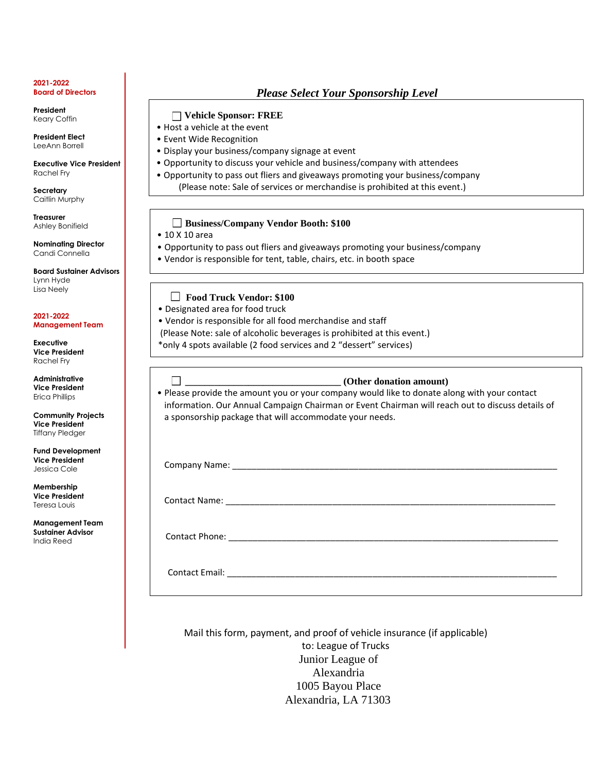**President** Keary Coffin

**President Elect** LeeAnn Borrell

**Executive Vice President**  Rachel Fry

**Secretary** Caitlin Murphy

**Treasurer** Ashley Bonifield

**Nominating Director** Candi Connella

**Board Sustainer Advisors** Lynn Hyde Lisa Neely

**2021-2022 Management Team**

**Executive Vice President**  Rachel Fry

**Administrative Vice President**  Erica Phillips

**Community Projects Vice President** Tiffany Pledger

**Fund Development Vice President**  Jessica Cole

**Membership Vice President**  Teresa Louis

**Management Team Sustainer Advisor** India Reed

# *Please Select Your Sponsorship Level*

### **Vehicle Sponsor: FREE**

- Host a vehicle at the event
- Event Wide Recognition
- Display your business/company signage at event
- Opportunity to discuss your vehicle and business/company with attendees
- Opportunity to pass out fliers and giveaways promoting your business/company (Please note: Sale of services or merchandise is prohibited at this event.)

## **Business/Company Vendor Booth: \$100**

- 10 X 10 area
- Opportunity to pass out fliers and giveaways promoting your business/company
- Vendor is responsible for tent, table, chairs, etc. in booth space

### **Food Truck Vendor: \$100**

- Designated area for food truck
- Vendor is responsible for all food merchandise and staff
- (Please Note: sale of alcoholic beverages is prohibited at this event.)
- \*only 4 spots available (2 food services and 2 "dessert" services)

### **\_\_\_\_\_\_\_\_\_\_\_\_\_\_\_\_\_\_\_\_\_\_\_\_\_\_\_\_\_\_\_\_ (Other donation amount)**

• Please provide the amount you or your company would like to donate along with your contact information. Our Annual Campaign Chairman or Event Chairman will reach out to discuss details of a sponsorship package that will accommodate your needs.

Company Name:

Contact Name:

Contact Phone: \_\_\_\_\_\_\_\_\_\_\_\_\_\_\_\_\_\_\_\_\_\_\_\_\_\_\_\_\_\_\_\_\_\_\_\_\_\_\_\_\_\_\_\_\_\_\_\_\_\_\_\_\_\_\_\_\_\_\_\_\_\_\_\_\_\_\_\_

Contact Email: **Example 20** 

Mail this form, payment, and proof of vehicle insurance (if applicable) to: League of Trucks Junior League of Alexandria 1005 Bayou Place Alexandria, LA 71303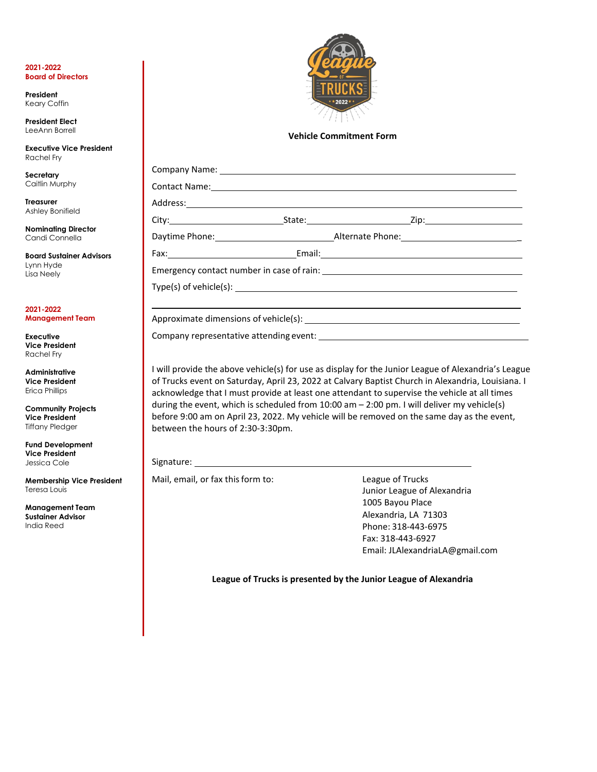**President** Keary Coffin

**President Elect** LeeAnn Borrell

**Executive Vice President**  Rachel Fry

**Secretary** Caitlin Murphy

**Treasurer** Ashley Bonifield

**Nominating Director** Candi Connella

**Board Sustainer Advisors** Lynn Hyde Lisa Neely

**2021-2022 Management Team**

**Executive Vice President**  Rachel Fry

**Administrative Vice President**  Erica Phillips

**Community Projects Vice President** Tiffany Pledger

**Fund Development Vice President**  Jessica Cole

**Membership Vice President**  Teresa Louis

**Management Team Sustainer Advisor** India Reed



### **Vehicle Commitment Form**

| Company Name: Lawrence and Company Name:                                                                                                                                                                                       |  |  |  |  |
|--------------------------------------------------------------------------------------------------------------------------------------------------------------------------------------------------------------------------------|--|--|--|--|
| Contact Name: 1988 Contact Name: 1988 Contact Name: 1988 Contact Name: 1988 Contact Name: 1988 Contact Name: 1988 Contact Name: 1988 Contact Name: 1988 Contact Name: 1988 Contact Name: 1988 Contact Name: 1988 Contact Name: |  |  |  |  |
|                                                                                                                                                                                                                                |  |  |  |  |
|                                                                                                                                                                                                                                |  |  |  |  |
|                                                                                                                                                                                                                                |  |  |  |  |
|                                                                                                                                                                                                                                |  |  |  |  |
|                                                                                                                                                                                                                                |  |  |  |  |
|                                                                                                                                                                                                                                |  |  |  |  |
|                                                                                                                                                                                                                                |  |  |  |  |
|                                                                                                                                                                                                                                |  |  |  |  |
|                                                                                                                                                                                                                                |  |  |  |  |

I will provide the above vehicle(s) for use as display for the Junior League of Alexandria's League of Trucks event on Saturday, April 23, 2022 at Calvary Baptist Church in Alexandria, Louisiana. I acknowledge that I must provide at least one attendant to supervise the vehicle at all times during the event, which is scheduled from 10:00 am – 2:00 pm. I will deliver my vehicle(s) before 9:00 am on April 23, 2022. My vehicle will be removed on the same day as the event, between the hours of 2:30-3:30pm.

Signature:

Mail, email, or fax this form to: League of Trucks

Junior League of Alexandria 1005 Bayou Place Alexandria, LA 71303 Phone: 318-443-6975 Fax: 318-443-6927 Email: [JLAlexandriaLA@gmail.com](mailto:JLAlexandriaLA@gmail.com)

**League of Trucks is presented by the Junior League of Alexandria**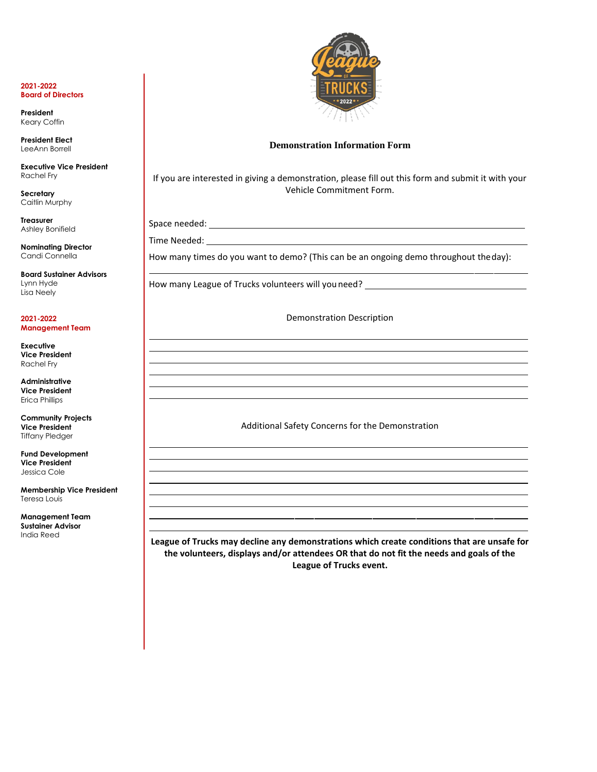**President** Keary Coffin

**President Elect** LeeAnn Borrell

**Executive Vice President**  Rachel Fry

**Secretary** Caitlin Murphy

**Treasurer** Ashley Bonifield

**Nominating Director** Candi Connella

**Board Sustainer Advisors** Lynn Hyde Lisa Neely

**2021-2022 Management Team**

**Executive Vice President**  Rachel Fry

**Administrative Vice President**  Erica Phillips

**Community Projects Vice President** Tiffany Pledger

**Fund Development Vice President**  Jessica Cole

**Membership Vice President**  Teresa Louis

**Management Team Sustainer Advisor** India Reed



### **Demonstration Information Form**

If you are interested in giving a demonstration, please fill out this form and submit it with your Vehicle Commitment Form.

Space needed:

Time Needed:

How many times do you want to demo? (This can be an ongoing demo throughout theday):

How many League of Trucks volunteers will you need? \_\_\_\_\_\_\_\_

Demonstration Description

Additional Safety Concerns for the Demonstration

**League of Trucks may decline any demonstrations which create conditions that are unsafe for the volunteers, displays and/or attendees OR that do not fit the needs and goals of the League of Trucks event.**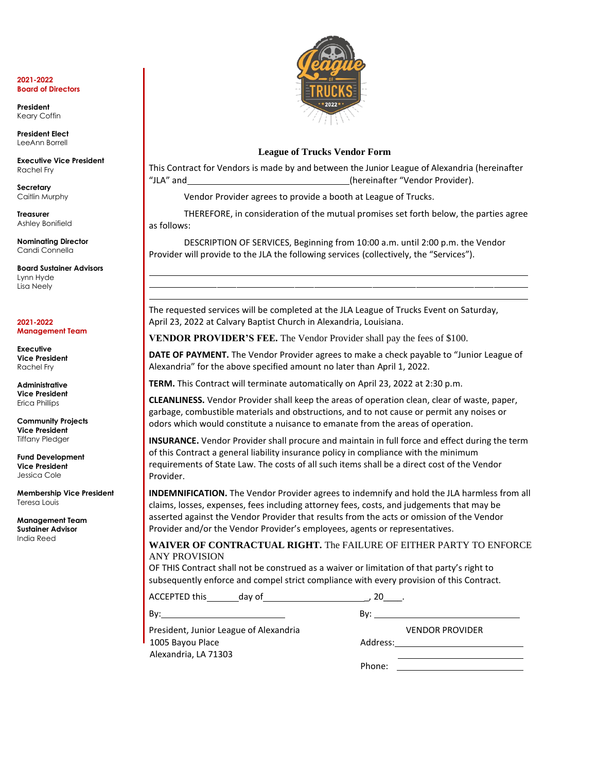**President** Keary Coffin

**President Elect** LeeAnn Borrell

**Executive Vice President**  Rachel Fry

**Secretary** Caitlin Murphy

**Treasurer** Ashley Bonifield

**Nominating Director** Candi Connella

**Board Sustainer Advisors** Lynn Hyde Lisa Neely

**2021-2022 Management Team**

**Executive Vice President**  Rachel Fry

**Administrative Vice President**  Erica Phillips

**Community Projects Vice President** Tiffany Pledger

**Fund Development Vice President**  Jessica Cole

**Membership Vice President**  Teresa Louis

**Management Team Sustainer Advisor** India Reed



### **League of Trucks Vendor Form**

This Contract for Vendors is made by and between the Junior League of Alexandria (hereinafter "JLA" and (hereinafter "Vendor Provider).

Vendor Provider agrees to provide a booth at League of Trucks.

THEREFORE, in consideration of the mutual promises set forth below, the parties agree as follows:

DESCRIPTION OF SERVICES, Beginning from 10:00 a.m. until 2:00 p.m. the Vendor Provider will provide to the JLA the following services (collectively, the "Services").

The requested services will be completed at the JLA League of Trucks Event on Saturday, April 23, 2022 at Calvary Baptist Church in Alexandria, Louisiana.

**VENDOR PROVIDER'S FEE.** The Vendor Provider shall pay the fees of \$100.

**DATE OF PAYMENT.** The Vendor Provider agrees to make a check payable to "Junior League of Alexandria" for the above specified amount no later than April 1, 2022.

**TERM.** This Contract will terminate automatically on April 23, 2022 at 2:30 p.m.

**CLEANLINESS.** Vendor Provider shall keep the areas of operation clean, clear of waste, paper, garbage, combustible materials and obstructions, and to not cause or permit any noises or odors which would constitute a nuisance to emanate from the areas of operation.

**INSURANCE.** Vendor Provider shall procure and maintain in full force and effect during the term of this Contract a general liability insurance policy in compliance with the minimum requirements of State Law. The costs of all such items shall be a direct cost of the Vendor Provider.

**INDEMNIFICATION.** The Vendor Provider agrees to indemnify and hold the JLA harmless from all claims, losses, expenses, fees including attorney fees, costs, and judgements that may be asserted against the Vendor Provider that results from the acts or omission of the Vendor Provider and/or the Vendor Provider's employees, agents or representatives.

**WAIVER OF CONTRACTUAL RIGHT.** The FAILURE OF EITHER PARTY TO ENFORCE ANY PROVISION

OF THIS Contract shall not be construed as a waiver or limitation of that party's right to subsequently enforce and compel strict compliance with every provision of this Contract.

ACCEPTED this day of the control of the control of the control of the control of the control of the control of the control of the control of the control of the control of the control of the control of the control of the co

By: By:

President, Junior League of Alexandria VENDOR PROVIDER 1005 Bayou Place Address: Address: Address: Address: Address: Address: Address: Address: Address: Address: Add Alexandria, LA 71303

| ddress: |  |
|---------|--|

Phone: **Example 20**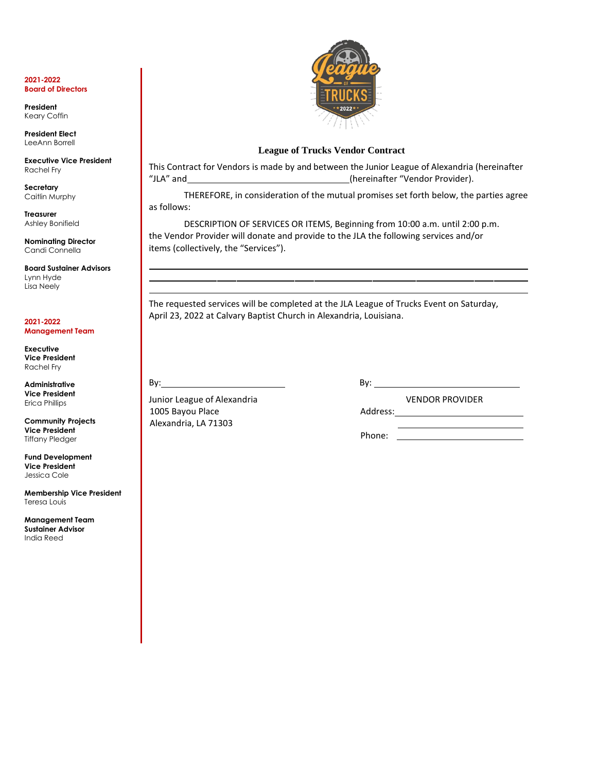**President** Keary Coffin

**President Elect** LeeAnn Borrell

**Executive Vice President**  Rachel Fry

**Secretary** Caitlin Murphy

**Treasurer** Ashley Bonifield

**Nominating Director** Candi Connella

**Board Sustainer Advisors** Lynn Hyde Lisa Neely

**2021-2022 Management Team**

**Executive Vice President**  Rachel Fry

**Administrative Vice President**  Erica Phillips

**Community Projects Vice President** Tiffany Pledger

**Fund Development Vice President**  Jessica Cole

**Membership Vice President**  Teresa Louis

**Management Team Sustainer Advisor** India Reed



## **League of Trucks Vendor Contract**

This Contract for Vendors is made by and between the Junior League of Alexandria (hereinafter "JLA" and (hereinafter "Vendor Provider).

THEREFORE, in consideration of the mutual promises set forth below, the parties agree as follows:

DESCRIPTION OF SERVICES OR ITEMS, Beginning from 10:00 a.m. until 2:00 p.m. the Vendor Provider will donate and provide to the JLA the following services and/or items (collectively, the "Services").

The requested services will be completed at the JLA League of Trucks Event on Saturday, April 23, 2022 at Calvary Baptist Church in Alexandria, Louisiana.

By: By:

Junior League of Alexandria VENDOR PROVIDER 1005 Bayou Place **Address:** Address: Alexandria, LA 71303

Phone: